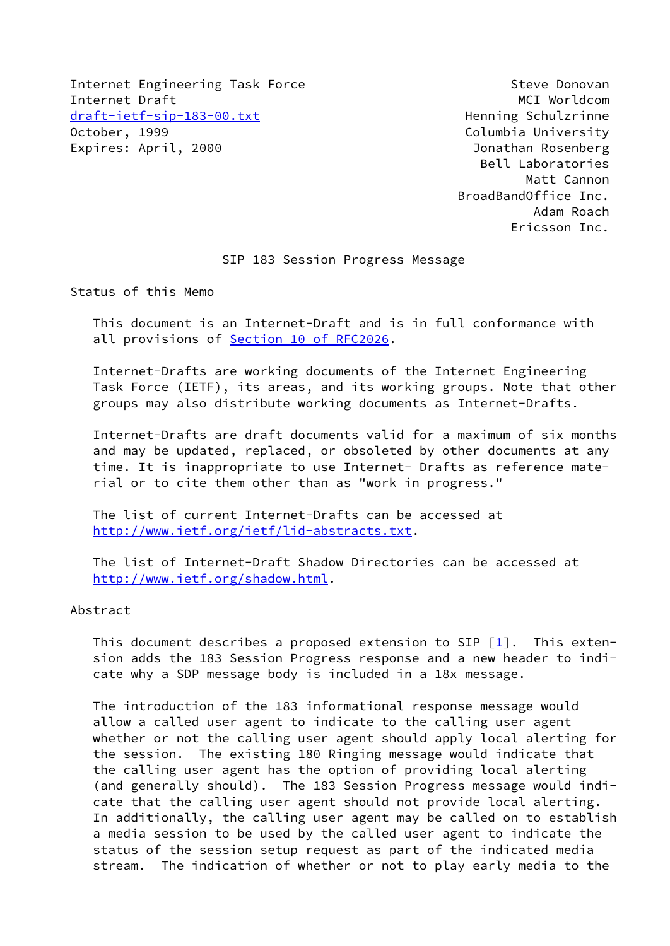Internet Engineering Task Force Steve Donovan Internet Draft MCI Worldcom [draft-ietf-sip-183-00.txt](https://datatracker.ietf.org/doc/pdf/draft-ietf-sip-183-00.txt) Henning Schulzrinne<br>October, 1999 Columbia University Expires: April, 2000 **Ionathan Rosenberg** 

Columbia University Bell Laboratories Matt Cannon BroadBandOffice Inc. Adam Roach Ericsson Inc.

### SIP 183 Session Progress Message

Status of this Memo

 This document is an Internet-Draft and is in full conformance with all provisions of Section [10 of RFC2026.](https://datatracker.ietf.org/doc/pdf/rfc2026#section-10)

 Internet-Drafts are working documents of the Internet Engineering Task Force (IETF), its areas, and its working groups. Note that other groups may also distribute working documents as Internet-Drafts.

 Internet-Drafts are draft documents valid for a maximum of six months and may be updated, replaced, or obsoleted by other documents at any time. It is inappropriate to use Internet- Drafts as reference mate rial or to cite them other than as "work in progress."

 The list of current Internet-Drafts can be accessed at <http://www.ietf.org/ietf/lid-abstracts.txt>.

 The list of Internet-Draft Shadow Directories can be accessed at <http://www.ietf.org/shadow.html>.

### Abstract

This document describes a proposed extension to SIP  $[1]$  $[1]$ . This exten sion adds the 183 Session Progress response and a new header to indi cate why a SDP message body is included in a 18x message.

 The introduction of the 183 informational response message would allow a called user agent to indicate to the calling user agent whether or not the calling user agent should apply local alerting for the session. The existing 180 Ringing message would indicate that the calling user agent has the option of providing local alerting (and generally should). The 183 Session Progress message would indi cate that the calling user agent should not provide local alerting. In additionally, the calling user agent may be called on to establish a media session to be used by the called user agent to indicate the status of the session setup request as part of the indicated media stream. The indication of whether or not to play early media to the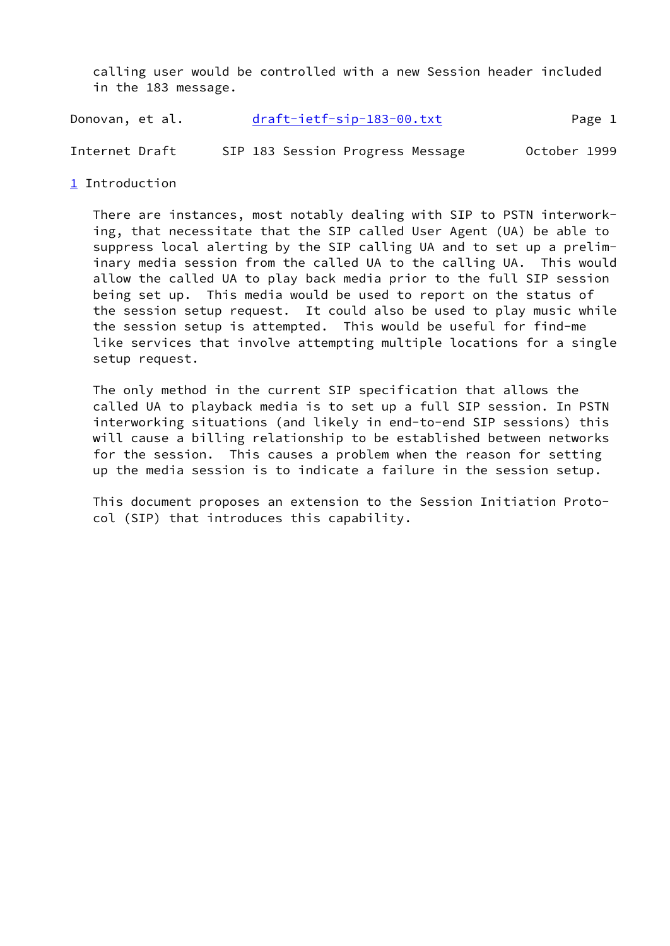calling user would be controlled with a new Session header included in the 183 message.

Donovan, et al. [draft-ietf-sip-183-00.txt](https://datatracker.ietf.org/doc/pdf/draft-ietf-sip-183-00.txt) Page 1

Internet Draft SIP 183 Session Progress Message October 1999

<span id="page-1-0"></span>[1](#page-1-0) Introduction

 There are instances, most notably dealing with SIP to PSTN interwork ing, that necessitate that the SIP called User Agent (UA) be able to suppress local alerting by the SIP calling UA and to set up a prelim inary media session from the called UA to the calling UA. This would allow the called UA to play back media prior to the full SIP session being set up. This media would be used to report on the status of the session setup request. It could also be used to play music while the session setup is attempted. This would be useful for find-me like services that involve attempting multiple locations for a single setup request.

 The only method in the current SIP specification that allows the called UA to playback media is to set up a full SIP session. In PSTN interworking situations (and likely in end-to-end SIP sessions) this will cause a billing relationship to be established between networks for the session. This causes a problem when the reason for setting up the media session is to indicate a failure in the session setup.

 This document proposes an extension to the Session Initiation Proto col (SIP) that introduces this capability.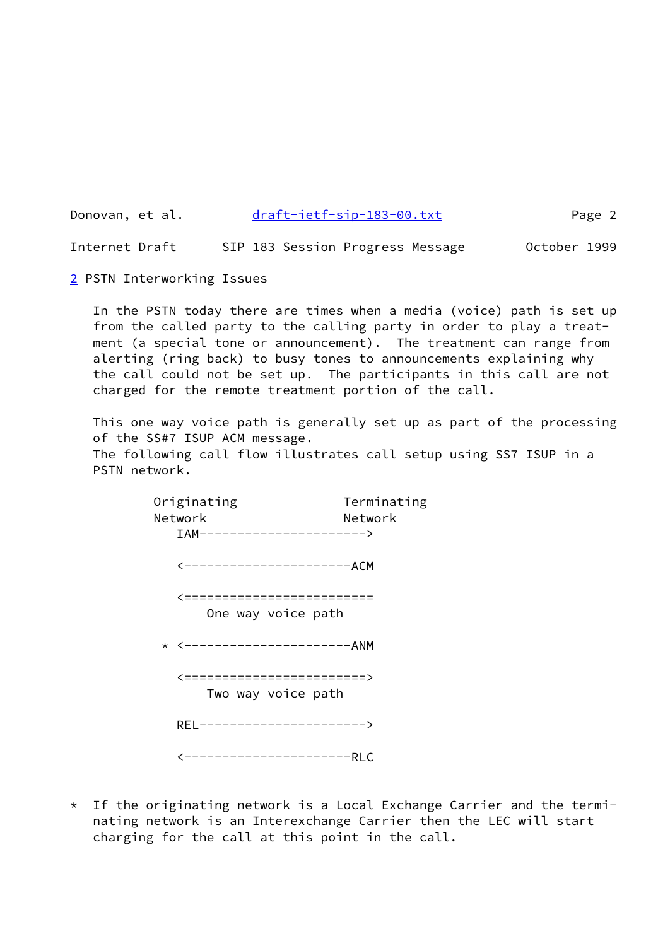Donovan, et al. [draft-ietf-sip-183-00.txt](https://datatracker.ietf.org/doc/pdf/draft-ietf-sip-183-00.txt) Page 2

Internet Draft SIP 183 Session Progress Message October 1999

<span id="page-2-0"></span>[2](#page-2-0) PSTN Interworking Issues

 In the PSTN today there are times when a media (voice) path is set up from the called party to the calling party in order to play a treat ment (a special tone or announcement). The treatment can range from alerting (ring back) to busy tones to announcements explaining why the call could not be set up. The participants in this call are not charged for the remote treatment portion of the call.

 This one way voice path is generally set up as part of the processing of the SS#7 ISUP ACM message.

 The following call flow illustrates call setup using SS7 ISUP in a PSTN network.

> Originating Terminating Network Network IAM----------------------> <----------------------ACM <========================= One way voice path \* <----------------------ANM <========================> Two way voice path REL----------------------> <----------------------RLC

\* If the originating network is a Local Exchange Carrier and the termi nating network is an Interexchange Carrier then the LEC will start charging for the call at this point in the call.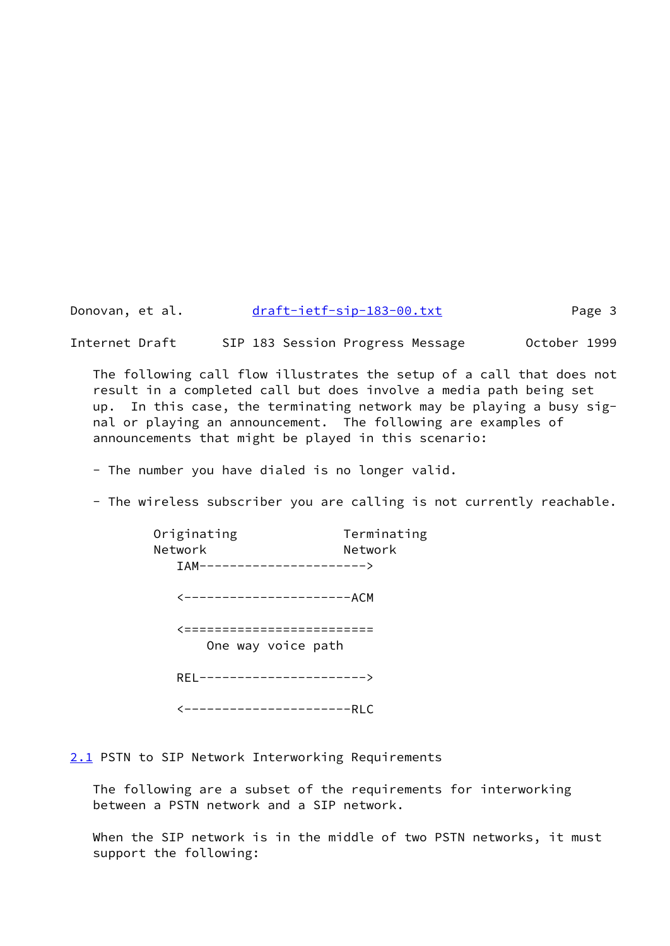Donovan, et al. [draft-ietf-sip-183-00.txt](https://datatracker.ietf.org/doc/pdf/draft-ietf-sip-183-00.txt) Page 3

Internet Draft SIP 183 Session Progress Message October 1999

 The following call flow illustrates the setup of a call that does not result in a completed call but does involve a media path being set up. In this case, the terminating network may be playing a busy sig nal or playing an announcement. The following are examples of announcements that might be played in this scenario:

- The number you have dialed is no longer valid.

- The wireless subscriber you are calling is not currently reachable.

| Originating                 | Terminating |
|-----------------------------|-------------|
| Network                     | Network     |
| TAM---------------------->  |             |
| <---------------------ACM   |             |
| <=========================  |             |
| One way voice path          |             |
| REL-----------------------> |             |
| ----------------------RLC   |             |

<span id="page-3-0"></span>[2.1](#page-3-0) PSTN to SIP Network Interworking Requirements

 The following are a subset of the requirements for interworking between a PSTN network and a SIP network.

 When the SIP network is in the middle of two PSTN networks, it must support the following: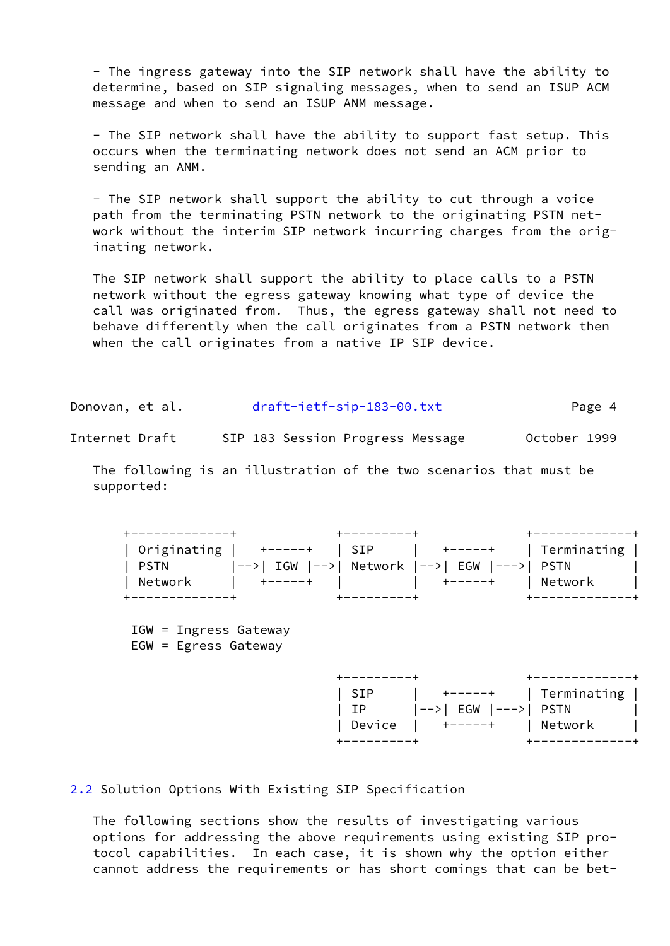- The ingress gateway into the SIP network shall have the ability to determine, based on SIP signaling messages, when to send an ISUP ACM message and when to send an ISUP ANM message.

 - The SIP network shall have the ability to support fast setup. This occurs when the terminating network does not send an ACM prior to sending an ANM.

 - The SIP network shall support the ability to cut through a voice path from the terminating PSTN network to the originating PSTN net work without the interim SIP network incurring charges from the orig inating network.

 The SIP network shall support the ability to place calls to a PSTN network without the egress gateway knowing what type of device the call was originated from. Thus, the egress gateway shall not need to behave differently when the call originates from a PSTN network then when the call originates from a native IP SIP device.

| Donovan, et al. | draft-ietf-sip-183-00.txt | Page 4 |
|-----------------|---------------------------|--------|
|-----------------|---------------------------|--------|

Internet Draft SIP 183 Session Progress Message October 1999

 The following is an illustration of the two scenarios that must be supported:



 IGW = Ingress Gateway EGW = Egress Gateway



<span id="page-4-0"></span>[2.2](#page-4-0) Solution Options With Existing SIP Specification

 The following sections show the results of investigating various options for addressing the above requirements using existing SIP pro tocol capabilities. In each case, it is shown why the option either cannot address the requirements or has short comings that can be bet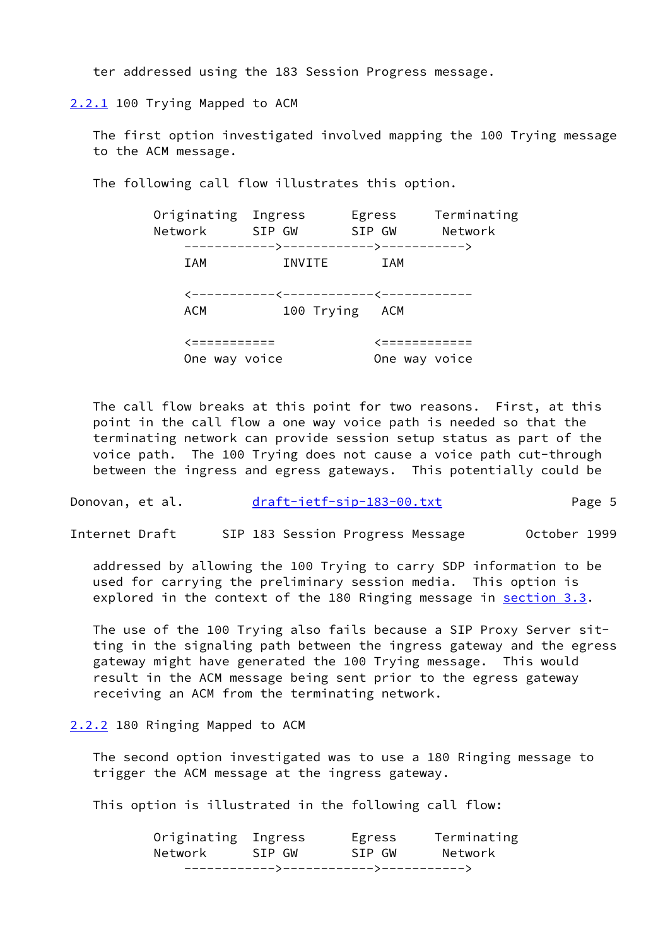ter addressed using the 183 Session Progress message.

<span id="page-5-0"></span>[2.2.1](#page-5-0) 100 Trying Mapped to ACM

 The first option investigated involved mapping the 100 Trying message to the ACM message.

The following call flow illustrates this option.

| Network                       | Originating Ingress<br>SIP GW | Egress<br>SIP GW               | Terminating<br>Network |
|-------------------------------|-------------------------------|--------------------------------|------------------------|
| IAM                           | INVITE                        | IAM                            |                        |
| ACM                           | 100 Trying ACM                |                                |                        |
| '===========<br>One way voice |                               | <ニニニニニニニニニニニニ<br>One way voice |                        |

 The call flow breaks at this point for two reasons. First, at this point in the call flow a one way voice path is needed so that the terminating network can provide session setup status as part of the voice path. The 100 Trying does not cause a voice path cut-through between the ingress and egress gateways. This potentially could be

Donovan, et al. [draft-ietf-sip-183-00.txt](https://datatracker.ietf.org/doc/pdf/draft-ietf-sip-183-00.txt) Page 5

Internet Draft SIP 183 Session Progress Message October 1999

 addressed by allowing the 100 Trying to carry SDP information to be used for carrying the preliminary session media. This option is explored in the context of the 180 Ringing message in section 3.3.

 The use of the 100 Trying also fails because a SIP Proxy Server sit ting in the signaling path between the ingress gateway and the egress gateway might have generated the 100 Trying message. This would result in the ACM message being sent prior to the egress gateway receiving an ACM from the terminating network.

<span id="page-5-1"></span>[2.2.2](#page-5-1) 180 Ringing Mapped to ACM

 The second option investigated was to use a 180 Ringing message to trigger the ACM message at the ingress gateway.

This option is illustrated in the following call flow:

| Network             | SIP GW | SIP GW | Network     |
|---------------------|--------|--------|-------------|
| Originating Ingress |        | Egress | Terminating |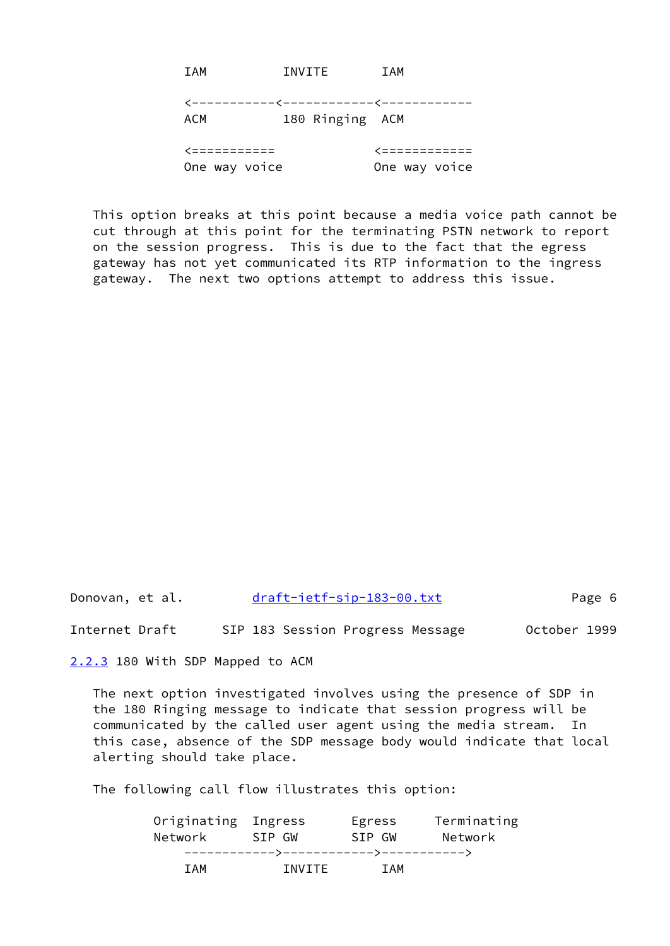| <b>TAM</b>    | INVITE          | IAM                                    |
|---------------|-----------------|----------------------------------------|
|               |                 | <-----------<<-----------<------------ |
| ACM           | 180 Ringing ACM |                                        |
| <ニニニニニニニニニニニ  |                 | <ニニニニニニニニニニニニ                          |
| One way voice |                 | One way voice                          |

 This option breaks at this point because a media voice path cannot be cut through at this point for the terminating PSTN network to report on the session progress. This is due to the fact that the egress gateway has not yet communicated its RTP information to the ingress gateway. The next two options attempt to address this issue.

Donovan, et al. [draft-ietf-sip-183-00.txt](https://datatracker.ietf.org/doc/pdf/draft-ietf-sip-183-00.txt) Page 6

Internet Draft SIP 183 Session Progress Message October 1999

<span id="page-6-0"></span>[2.2.3](#page-6-0) 180 With SDP Mapped to ACM

 The next option investigated involves using the presence of SDP in the 180 Ringing message to indicate that session progress will be communicated by the called user agent using the media stream. In this case, absence of the SDP message body would indicate that local alerting should take place.

The following call flow illustrates this option:

| Originating Ingress |                                       | Egress     | Terminating |
|---------------------|---------------------------------------|------------|-------------|
| Network             | SIP GW                                | SIP GW     | Network     |
|                     | ------------>------------->---------> |            |             |
| T A M               | TNVTTF                                | <b>TAM</b> |             |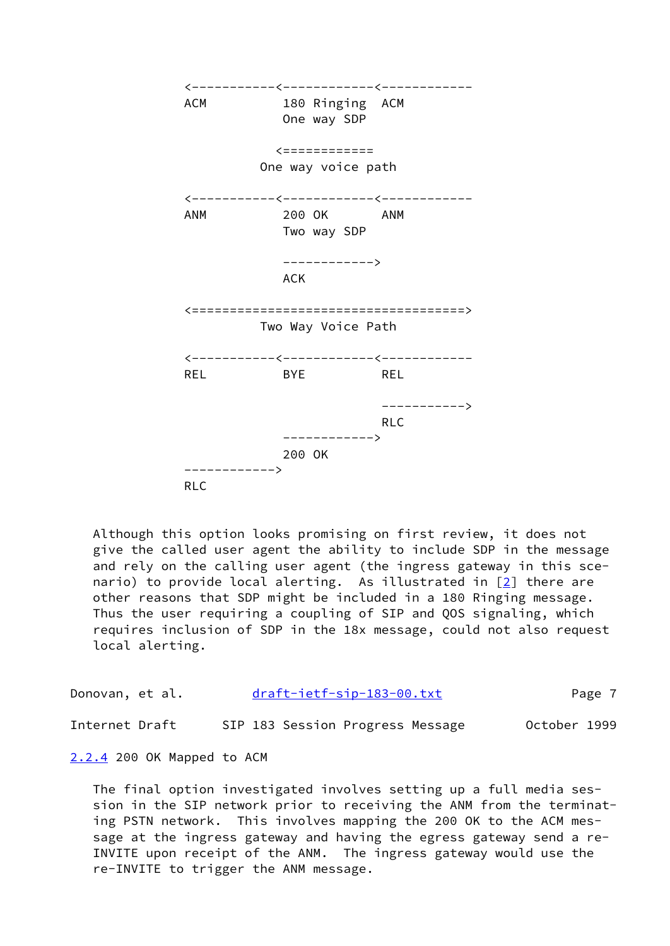

 Although this option looks promising on first review, it does not give the called user agent the ability to include SDP in the message and rely on the calling user agent (the ingress gateway in this sce nario) to provide local alerting. As illustrated in  $[2]$  there are other reasons that SDP might be included in a 180 Ringing message. Thus the user requiring a coupling of SIP and QOS signaling, which requires inclusion of SDP in the 18x message, could not also request local alerting.

| Donovan, et al. | draft-ietf-sip-183-00.txt        | Page 7       |
|-----------------|----------------------------------|--------------|
| Internet Draft  | SIP 183 Session Progress Message | October 1999 |

<span id="page-7-0"></span>[2.2.4](#page-7-0) 200 OK Mapped to ACM

 The final option investigated involves setting up a full media ses sion in the SIP network prior to receiving the ANM from the terminat ing PSTN network. This involves mapping the 200 OK to the ACM mes sage at the ingress gateway and having the egress gateway send a re- INVITE upon receipt of the ANM. The ingress gateway would use the re-INVITE to trigger the ANM message.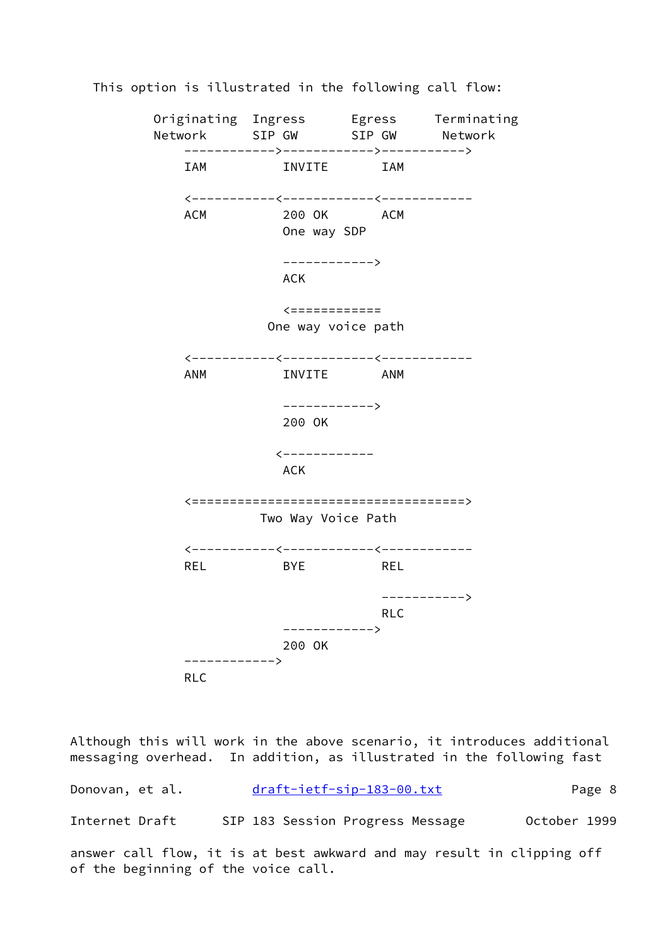

This option is illustrated in the following call flow:

Although this will work in the above scenario, it introduces additional messaging overhead. In addition, as illustrated in the following fast

Donovan, et al. [draft-ietf-sip-183-00.txt](https://datatracker.ietf.org/doc/pdf/draft-ietf-sip-183-00.txt) Page 8 Internet Draft SIP 183 Session Progress Message October 1999

answer call flow, it is at best awkward and may result in clipping off of the beginning of the voice call.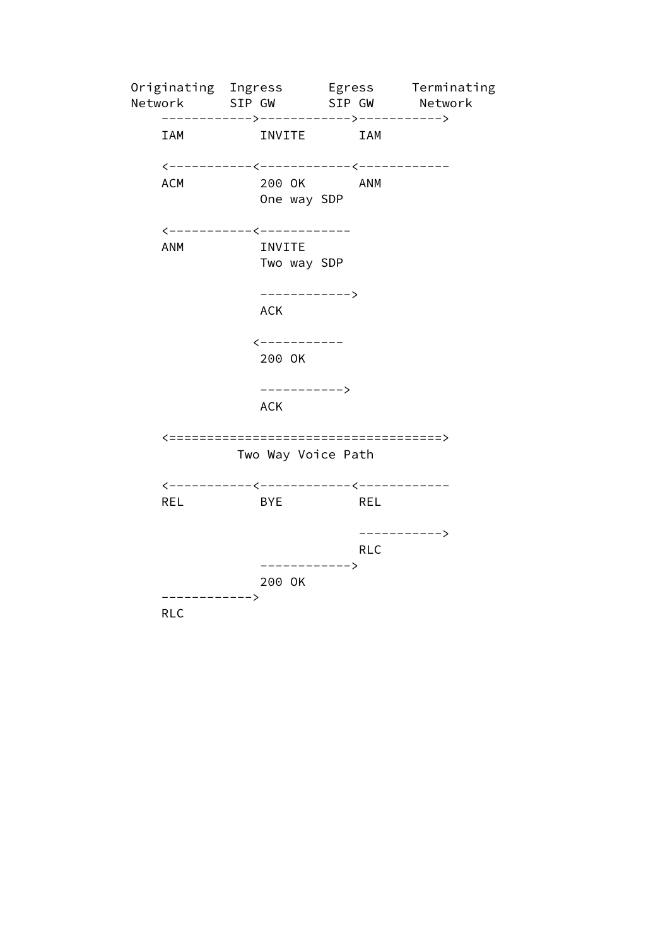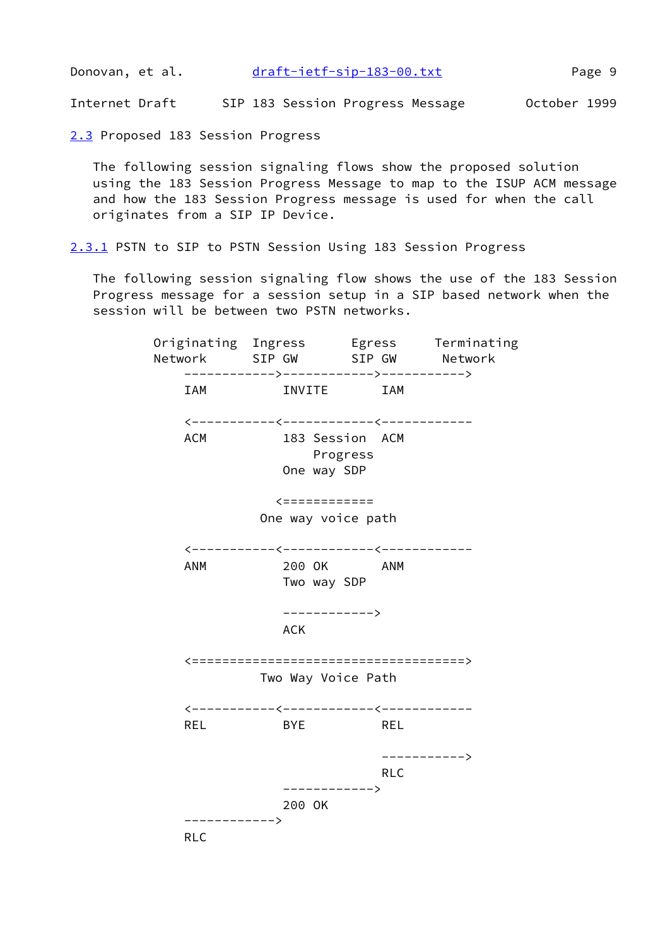Donovan, et al. [draft-ietf-sip-183-00.txt](https://datatracker.ietf.org/doc/pdf/draft-ietf-sip-183-00.txt) Page 9

Internet Draft SIP 183 Session Progress Message October 1999

<span id="page-10-0"></span>[2.3](#page-10-0) Proposed 183 Session Progress

 The following session signaling flows show the proposed solution using the 183 Session Progress Message to map to the ISUP ACM message and how the 183 Session Progress message is used for when the call originates from a SIP IP Device.

<span id="page-10-1"></span>[2.3.1](#page-10-1) PSTN to SIP to PSTN Session Using 183 Session Progress

 The following session signaling flow shows the use of the 183 Session Progress message for a session setup in a SIP based network when the session will be between two PSTN networks.

 Originating Ingress Egress Terminating Network SIP GW SIP GW Network ------------>------------>-----------> IAM INVITE IAM <-----------<------------<------------ ACM 183 Session ACM Progress One way SDP <============ One way voice path <-----------<------------<------------ ANM 200 OK ANM Two way SDP ------------> **ACK** ACK <====================================> Two Way Voice Path <-----------<------------<------------ REL BYE REL -----------> **RLC RLC**  ------------> 200 OK ------------> RLC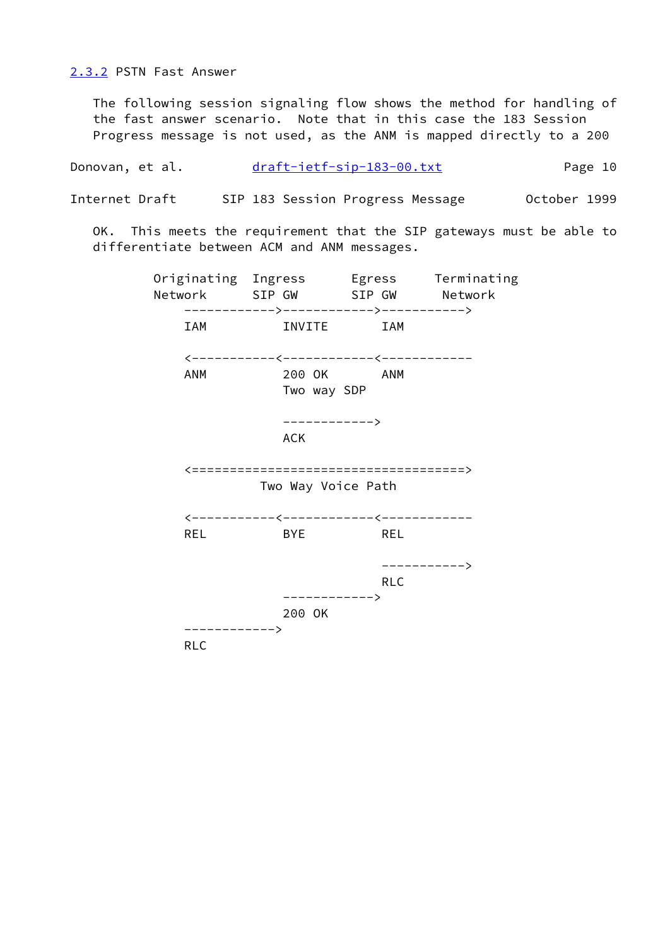<span id="page-11-0"></span>[2.3.2](#page-11-0) PSTN Fast Answer

 The following session signaling flow shows the method for handling of the fast answer scenario. Note that in this case the 183 Session Progress message is not used, as the ANM is mapped directly to a 200

Donovan, et al. [draft-ietf-sip-183-00.txt](https://datatracker.ietf.org/doc/pdf/draft-ietf-sip-183-00.txt) Page 10

Internet Draft SIP 183 Session Progress Message October 1999

 OK. This meets the requirement that the SIP gateways must be able to differentiate between ACM and ANM messages.

 Originating Ingress Egress Terminating Network SIP GW SIP GW Network ------------>------------>-----------> IAM INVITE IAM <-----------<------------<------------ ANM 200 OK ANM Two way SDP ------------> **ACK** ACK <====================================> Two Way Voice Path <-----------<------------<------------ REL BYE REL -----------> **RLC RLC**  ------------> 200 OK ------------> RLC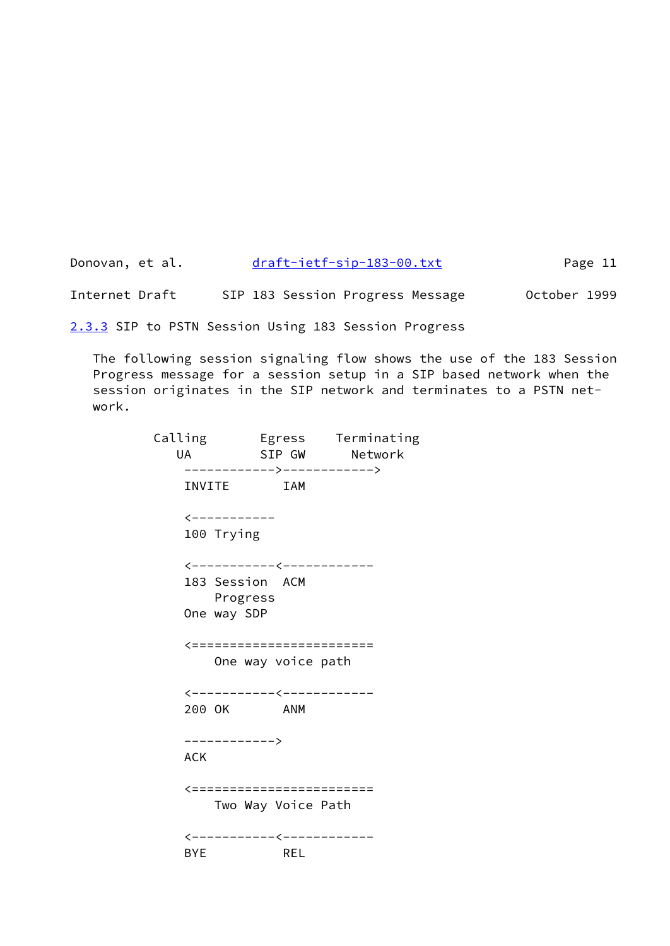| Donovan, et al. |  |  | draft-ietf-sip-183-00.txt        | Page 11      |  |  |  |
|-----------------|--|--|----------------------------------|--------------|--|--|--|
| Internet Draft  |  |  | SIP 183 Session Progress Message | October 1999 |  |  |  |

<span id="page-12-0"></span>[2.3.3](#page-12-0) SIP to PSTN Session Using 183 Session Progress

 The following session signaling flow shows the use of the 183 Session Progress message for a session setup in a SIP based network when the session originates in the SIP network and terminates to a PSTN net work.

| UA         |                             | SIP GW     | Calling           Egress      Terminating<br>Network |
|------------|-----------------------------|------------|------------------------------------------------------|
|            |                             |            | ------------>------------->                          |
|            | INVITE                      | <b>IAM</b> |                                                      |
|            | <-----------                |            |                                                      |
|            | 100 Trying                  |            |                                                      |
|            | <-----------<-------------  |            |                                                      |
|            | 183 Session ACM<br>Progress |            |                                                      |
|            | One way SDP                 |            |                                                      |
|            | <========================   |            |                                                      |
|            | One way voice path          |            |                                                      |
|            | <-----------<------------   |            |                                                      |
| 200 OK     |                             | <b>ANM</b> |                                                      |
|            | ------------>               |            |                                                      |
| <b>ACK</b> |                             |            |                                                      |
|            | <========================   |            |                                                      |
|            | Two Way Voice Path          |            |                                                      |
|            | <-----------<------------   |            |                                                      |
| <b>BYE</b> |                             | REL        |                                                      |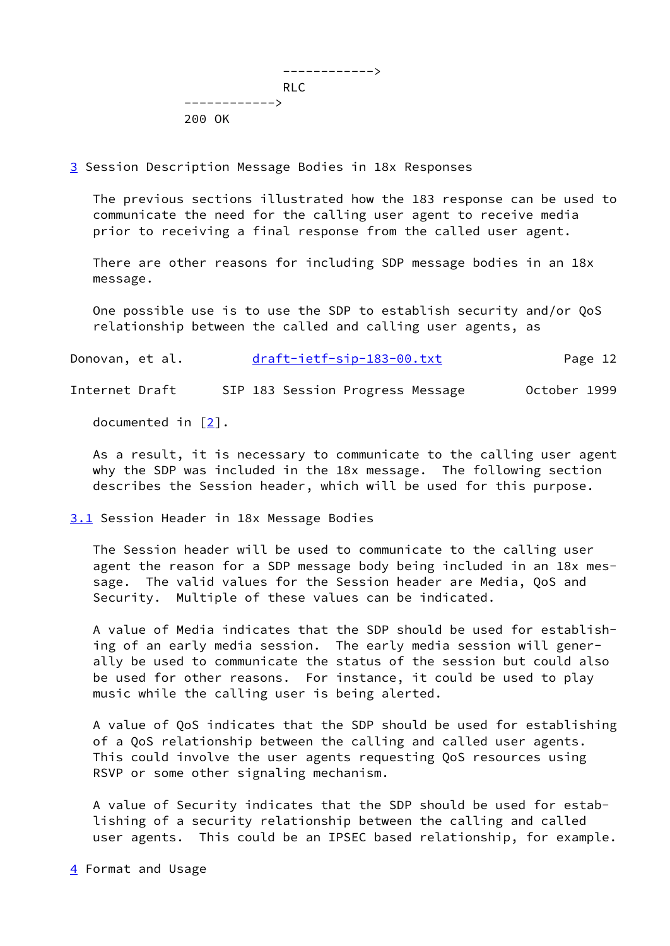

<span id="page-13-0"></span>[3](#page-13-0) Session Description Message Bodies in 18x Responses

 The previous sections illustrated how the 183 response can be used to communicate the need for the calling user agent to receive media prior to receiving a final response from the called user agent.

 There are other reasons for including SDP message bodies in an 18x message.

 One possible use is to use the SDP to establish security and/or QoS relationship between the called and calling user agents, as

Donovan, et al. [draft-ietf-sip-183-00.txt](https://datatracker.ietf.org/doc/pdf/draft-ietf-sip-183-00.txt) Page 12

Internet Draft SIP 183 Session Progress Message October 1999

documented in [[2\]](#page-27-1).

 As a result, it is necessary to communicate to the calling user agent why the SDP was included in the 18x message. The following section describes the Session header, which will be used for this purpose.

<span id="page-13-1"></span>[3.1](#page-13-1) Session Header in 18x Message Bodies

 The Session header will be used to communicate to the calling user agent the reason for a SDP message body being included in an 18x mes sage. The valid values for the Session header are Media, QoS and Security. Multiple of these values can be indicated.

 A value of Media indicates that the SDP should be used for establish ing of an early media session. The early media session will gener ally be used to communicate the status of the session but could also be used for other reasons. For instance, it could be used to play music while the calling user is being alerted.

 A value of QoS indicates that the SDP should be used for establishing of a QoS relationship between the calling and called user agents. This could involve the user agents requesting QoS resources using RSVP or some other signaling mechanism.

 A value of Security indicates that the SDP should be used for estab lishing of a security relationship between the calling and called user agents. This could be an IPSEC based relationship, for example.

<span id="page-13-2"></span>[4](#page-13-2) Format and Usage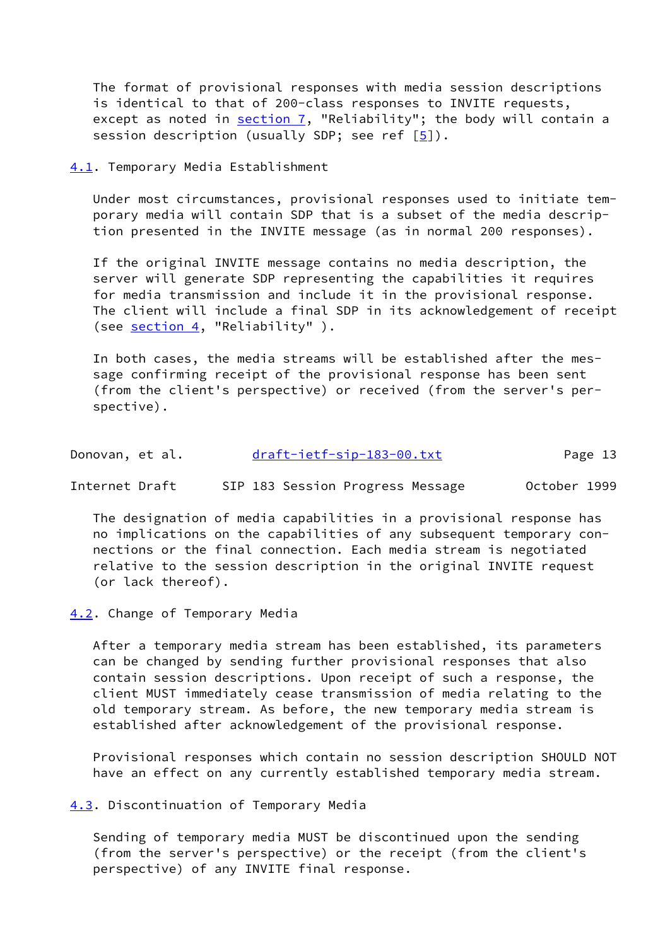The format of provisional responses with media session descriptions is identical to that of 200-class responses to INVITE requests, except as noted in  $section 7$ , "Reliability"; the body will contain a session description (usually SDP; see ref  $[5]$  $[5]$ ).

<span id="page-14-0"></span>[4.1](#page-14-0). Temporary Media Establishment

 Under most circumstances, provisional responses used to initiate tem porary media will contain SDP that is a subset of the media descrip tion presented in the INVITE message (as in normal 200 responses).

 If the original INVITE message contains no media description, the server will generate SDP representing the capabilities it requires for media transmission and include it in the provisional response. The client will include a final SDP in its acknowledgement of receipt (see [section 4](#page-13-2), "Reliability").

 In both cases, the media streams will be established after the mes sage confirming receipt of the provisional response has been sent (from the client's perspective) or received (from the server's per spective).

| Donovan, et al. | draft-ietf-sip-183-00.txt | Page 13 |
|-----------------|---------------------------|---------|
|                 |                           |         |

Internet Draft SIP 183 Session Progress Message October 1999

 The designation of media capabilities in a provisional response has no implications on the capabilities of any subsequent temporary con nections or the final connection. Each media stream is negotiated relative to the session description in the original INVITE request (or lack thereof).

<span id="page-14-1"></span>[4.2](#page-14-1). Change of Temporary Media

 After a temporary media stream has been established, its parameters can be changed by sending further provisional responses that also contain session descriptions. Upon receipt of such a response, the client MUST immediately cease transmission of media relating to the old temporary stream. As before, the new temporary media stream is established after acknowledgement of the provisional response.

 Provisional responses which contain no session description SHOULD NOT have an effect on any currently established temporary media stream.

<span id="page-14-2"></span>[4.3](#page-14-2). Discontinuation of Temporary Media

 Sending of temporary media MUST be discontinued upon the sending (from the server's perspective) or the receipt (from the client's perspective) of any INVITE final response.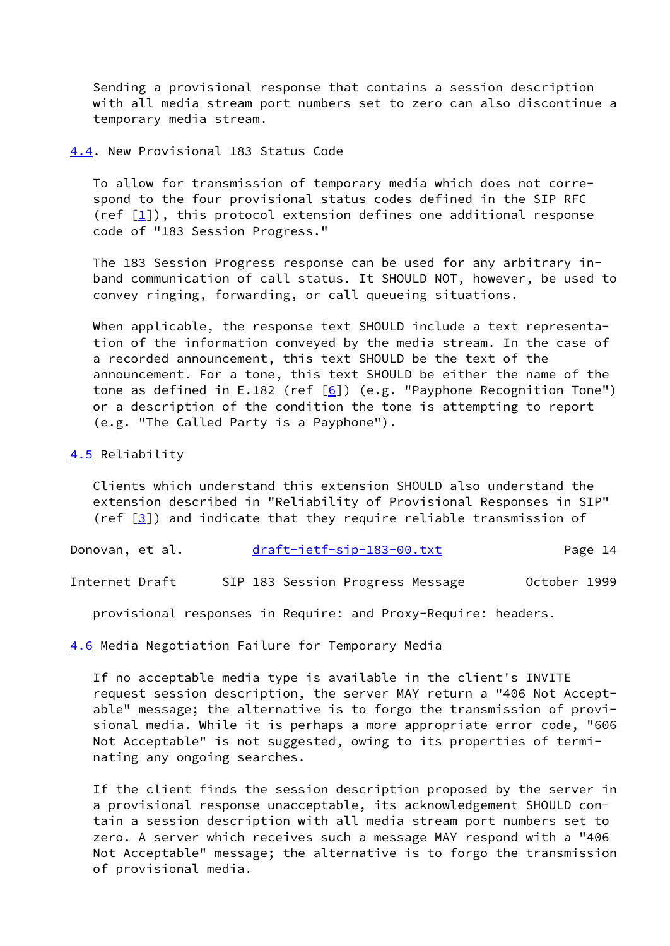Sending a provisional response that contains a session description with all media stream port numbers set to zero can also discontinue a temporary media stream.

<span id="page-15-0"></span>[4.4](#page-15-0). New Provisional 183 Status Code

 To allow for transmission of temporary media which does not corre spond to the four provisional status codes defined in the SIP RFC (ref  $[1]$ ), this protocol extension defines one additional response code of "183 Session Progress."

 The 183 Session Progress response can be used for any arbitrary in band communication of call status. It SHOULD NOT, however, be used to convey ringing, forwarding, or call queueing situations.

 When applicable, the response text SHOULD include a text representa tion of the information conveyed by the media stream. In the case of a recorded announcement, this text SHOULD be the text of the announcement. For a tone, this text SHOULD be either the name of the tone as defined in E.182 (ref  $[6]$  $[6]$ ) (e.g. "Payphone Recognition Tone") or a description of the condition the tone is attempting to report (e.g. "The Called Party is a Payphone").

# <span id="page-15-1"></span>[4.5](#page-15-1) Reliability

 Clients which understand this extension SHOULD also understand the extension described in "Reliability of Provisional Responses in SIP" (ref  $[3]$ ) and indicate that they require reliable transmission of

Donovan, et al. [draft-ietf-sip-183-00.txt](https://datatracker.ietf.org/doc/pdf/draft-ietf-sip-183-00.txt) Page 14

Internet Draft SIP 183 Session Progress Message October 1999

provisional responses in Require: and Proxy-Require: headers.

<span id="page-15-2"></span>[4.6](#page-15-2) Media Negotiation Failure for Temporary Media

 If no acceptable media type is available in the client's INVITE request session description, the server MAY return a "406 Not Accept able" message; the alternative is to forgo the transmission of provi sional media. While it is perhaps a more appropriate error code, "606 Not Acceptable" is not suggested, owing to its properties of termi nating any ongoing searches.

 If the client finds the session description proposed by the server in a provisional response unacceptable, its acknowledgement SHOULD con tain a session description with all media stream port numbers set to zero. A server which receives such a message MAY respond with a "406 Not Acceptable" message; the alternative is to forgo the transmission of provisional media.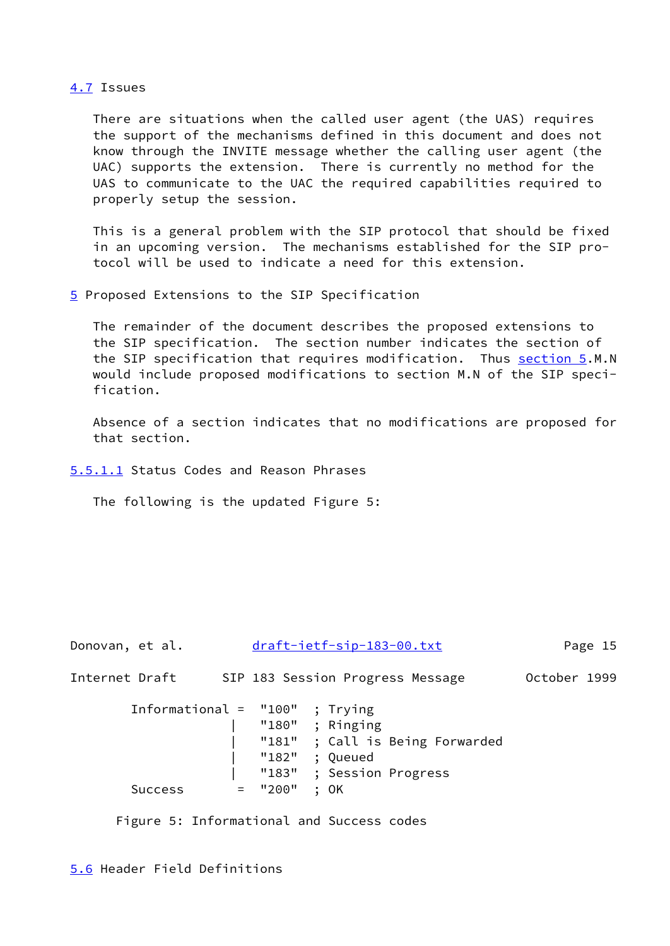# <span id="page-16-0"></span>[4.7](#page-16-0) Issues

 There are situations when the called user agent (the UAS) requires the support of the mechanisms defined in this document and does not know through the INVITE message whether the calling user agent (the UAC) supports the extension. There is currently no method for the UAS to communicate to the UAC the required capabilities required to properly setup the session.

 This is a general problem with the SIP protocol that should be fixed in an upcoming version. The mechanisms established for the SIP pro tocol will be used to indicate a need for this extension.

<span id="page-16-1"></span>[5](#page-16-1) Proposed Extensions to the SIP Specification

 The remainder of the document describes the proposed extensions to the SIP specification. The section number indicates the section of the SIP specification that requires modification. Thus [section 5](#page-16-1).M.N would include proposed modifications to section M.N of the SIP speci fication.

 Absence of a section indicates that no modifications are proposed for that section.

<span id="page-16-2"></span>[5.5.1.1](#page-16-2) Status Codes and Reason Phrases

The following is the updated Figure 5:

| Donovan, et al. | draft-ietf-sip-183-00.txt                                                                                                                                   | Page 15      |
|-----------------|-------------------------------------------------------------------------------------------------------------------------------------------------------------|--------------|
| Internet Draft  | SIP 183 Session Progress Message                                                                                                                            | October 1999 |
| <b>Success</b>  | Informational = $"100"$ ; Trying<br>"180" ; Ringing<br>"181" ; Call is Being Forwarded<br>"182" ; Queued<br>"183" ; Session Progress<br>$=$ "200"<br>$:$ OK |              |
|                 |                                                                                                                                                             |              |

Figure 5: Informational and Success codes

<span id="page-16-3"></span>[5.6](#page-16-3) Header Field Definitions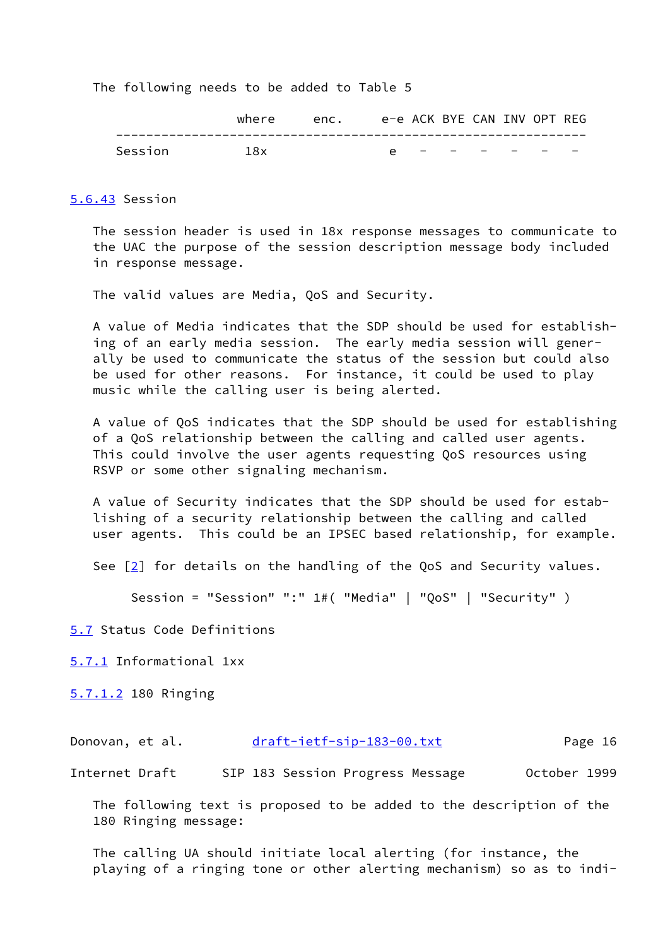The following needs to be added to Table 5

|         | where | enc. |            |  |         | e-e ACK BYE CAN INV OPT REG |  |
|---------|-------|------|------------|--|---------|-----------------------------|--|
| Session | 1 R x |      | $\epsilon$ |  | _______ | $\overline{\phantom{0}}$    |  |

### <span id="page-17-0"></span>[5.6.43](#page-17-0) Session

 The session header is used in 18x response messages to communicate to the UAC the purpose of the session description message body included in response message.

The valid values are Media, QoS and Security.

 A value of Media indicates that the SDP should be used for establish ing of an early media session. The early media session will gener ally be used to communicate the status of the session but could also be used for other reasons. For instance, it could be used to play music while the calling user is being alerted.

 A value of QoS indicates that the SDP should be used for establishing of a QoS relationship between the calling and called user agents. This could involve the user agents requesting QoS resources using RSVP or some other signaling mechanism.

 A value of Security indicates that the SDP should be used for estab lishing of a security relationship between the calling and called user agents. This could be an IPSEC based relationship, for example.

See [\[2](#page-27-1)] for details on the handling of the QoS and Security values.

Session = "Session" ":" 1#( "Media" | "QoS" | "Security" )

<span id="page-17-1"></span>[5.7](#page-17-1) Status Code Definitions

<span id="page-17-2"></span>[5.7.1](#page-17-2) Informational 1xx

<span id="page-17-3"></span>[5.7.1.2](#page-17-3) 180 Ringing

| Donovan, et al. | draft-ietf-sip-183-00.txt | Page 16 |
|-----------------|---------------------------|---------|
|                 |                           |         |

Internet Draft SIP 183 Session Progress Message October 1999

 The following text is proposed to be added to the description of the 180 Ringing message:

 The calling UA should initiate local alerting (for instance, the playing of a ringing tone or other alerting mechanism) so as to indi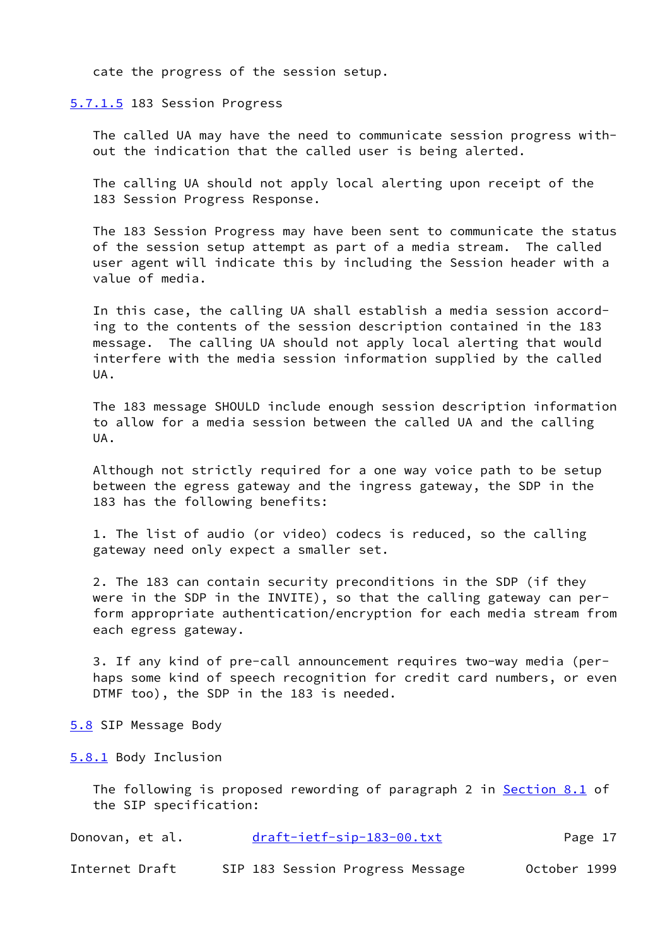cate the progress of the session setup.

<span id="page-18-0"></span>[5.7.1.5](#page-18-0) 183 Session Progress

 The called UA may have the need to communicate session progress with out the indication that the called user is being alerted.

 The calling UA should not apply local alerting upon receipt of the 183 Session Progress Response.

 The 183 Session Progress may have been sent to communicate the status of the session setup attempt as part of a media stream. The called user agent will indicate this by including the Session header with a value of media.

 In this case, the calling UA shall establish a media session accord ing to the contents of the session description contained in the 183 message. The calling UA should not apply local alerting that would interfere with the media session information supplied by the called UA.

 The 183 message SHOULD include enough session description information to allow for a media session between the called UA and the calling UA.

 Although not strictly required for a one way voice path to be setup between the egress gateway and the ingress gateway, the SDP in the 183 has the following benefits:

 1. The list of audio (or video) codecs is reduced, so the calling gateway need only expect a smaller set.

 2. The 183 can contain security preconditions in the SDP (if they were in the SDP in the INVITE), so that the calling gateway can per form appropriate authentication/encryption for each media stream from each egress gateway.

 3. If any kind of pre-call announcement requires two-way media (per haps some kind of speech recognition for credit card numbers, or even DTMF too), the SDP in the 183 is needed.

<span id="page-18-1"></span>[5.8](#page-18-1) SIP Message Body

<span id="page-18-2"></span>[5.8.1](#page-18-2) Body Inclusion

The following is proposed rewording of paragraph 2 in Section 8.1 of the SIP specification:

| Donovan, et al. | draft-ietf-sip-183-00.txt | Page 17 |  |
|-----------------|---------------------------|---------|--|
|                 |                           |         |  |

Internet Draft SIP 183 Session Progress Message October 1999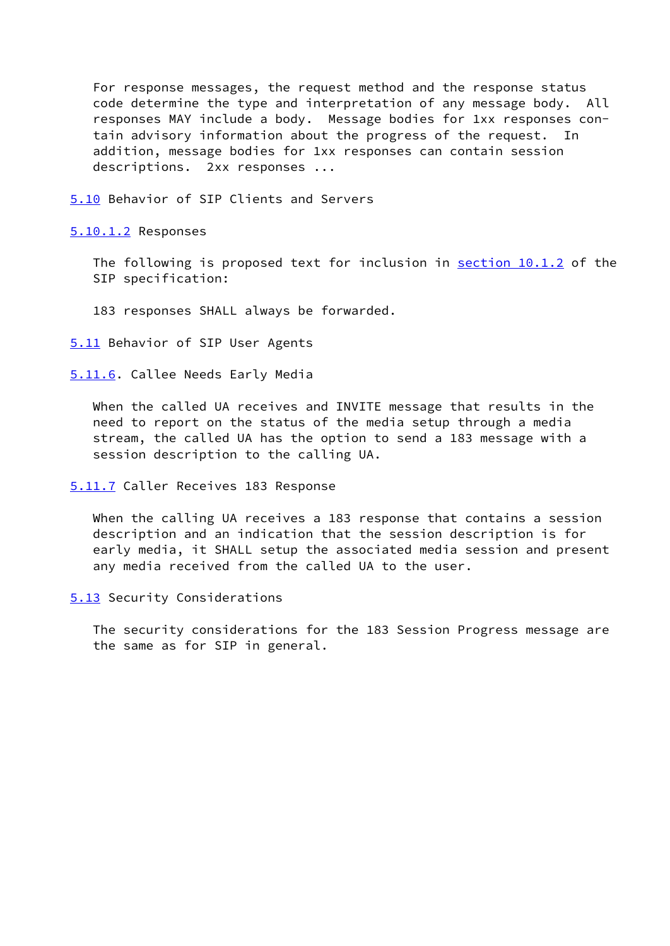For response messages, the request method and the response status code determine the type and interpretation of any message body. All responses MAY include a body. Message bodies for 1xx responses con tain advisory information about the progress of the request. In addition, message bodies for 1xx responses can contain session descriptions. 2xx responses ...

<span id="page-19-0"></span>[5.10](#page-19-0) Behavior of SIP Clients and Servers

<span id="page-19-1"></span>[5.10.1.2](#page-19-1) Responses

The following is proposed text for inclusion in section 10.1.2 of the SIP specification:

183 responses SHALL always be forwarded.

<span id="page-19-2"></span>[5.11](#page-19-2) Behavior of SIP User Agents

<span id="page-19-3"></span>[5.11.6](#page-19-3). Callee Needs Early Media

 When the called UA receives and INVITE message that results in the need to report on the status of the media setup through a media stream, the called UA has the option to send a 183 message with a session description to the calling UA.

<span id="page-19-4"></span>[5.11.7](#page-19-4) Caller Receives 183 Response

When the calling UA receives a 183 response that contains a session description and an indication that the session description is for early media, it SHALL setup the associated media session and present any media received from the called UA to the user.

<span id="page-19-5"></span>[5.13](#page-19-5) Security Considerations

 The security considerations for the 183 Session Progress message are the same as for SIP in general.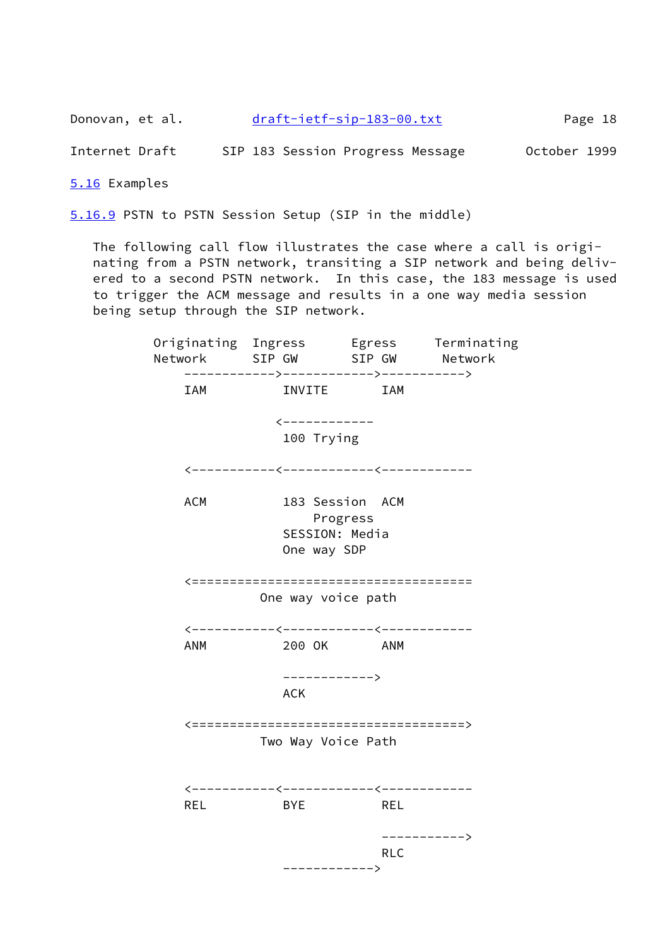Donovan, et al. [draft-ietf-sip-183-00.txt](https://datatracker.ietf.org/doc/pdf/draft-ietf-sip-183-00.txt) Page 18

Internet Draft SIP 183 Session Progress Message October 1999

<span id="page-20-0"></span>[5.16](#page-20-0) Examples

<span id="page-20-1"></span>[5.16.9](#page-20-1) PSTN to PSTN Session Setup (SIP in the middle)

 The following call flow illustrates the case where a call is origi nating from a PSTN network, transiting a SIP network and being deliv ered to a second PSTN network. In this case, the 183 message is used to trigger the ACM message and results in a one way media session being setup through the SIP network.

 Originating Ingress Egress Terminating Network SIP GW SIP GW Network ------------>------------>-----------> IAM INVITE IAM <------------ 100 Trying <-----------<------------<------------ ACM 183 Session ACM Progress SESSION: Media One way SDP <===================================== One way voice path <-----------<------------<------------ ANM 200 OK ANM ------------> **ACK** ACK <====================================> Two Way Voice Path <-----------<------------<------------ REL BYE REL -----------> **RLC RLC** ------------>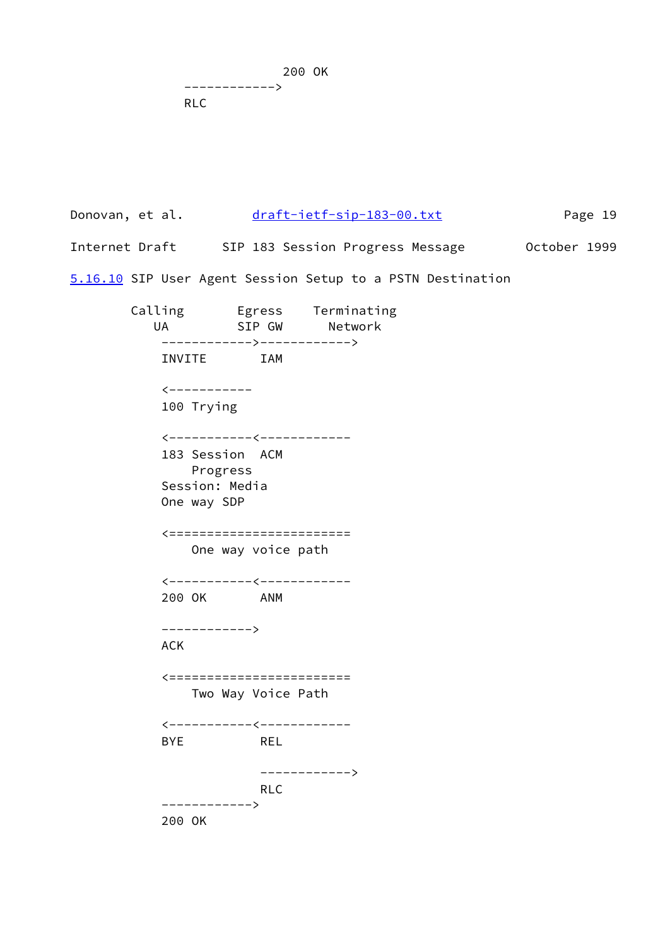200 OK ------------> RLC

Donovan, et al. [draft-ietf-sip-183-00.txt](https://datatracker.ietf.org/doc/pdf/draft-ietf-sip-183-00.txt) Page 19 Internet Draft SIP 183 Session Progress Message October 1999

<span id="page-21-0"></span>[5.16.10](#page-21-0) SIP User Agent Session Setup to a PSTN Destination

 Calling Egress Terminating UA SIP GW Network ------------>------------> INVITE IAM <----------- 100 Trying <-----------<------------ 183 Session ACM Progress Session: Media One way SDP <======================== One way voice path <-----------<------------ 200 OK ANM ------------> ACK <======================== Two Way Voice Path <-----------<------------ BYE REL ------------> RLC ------------> 200 OK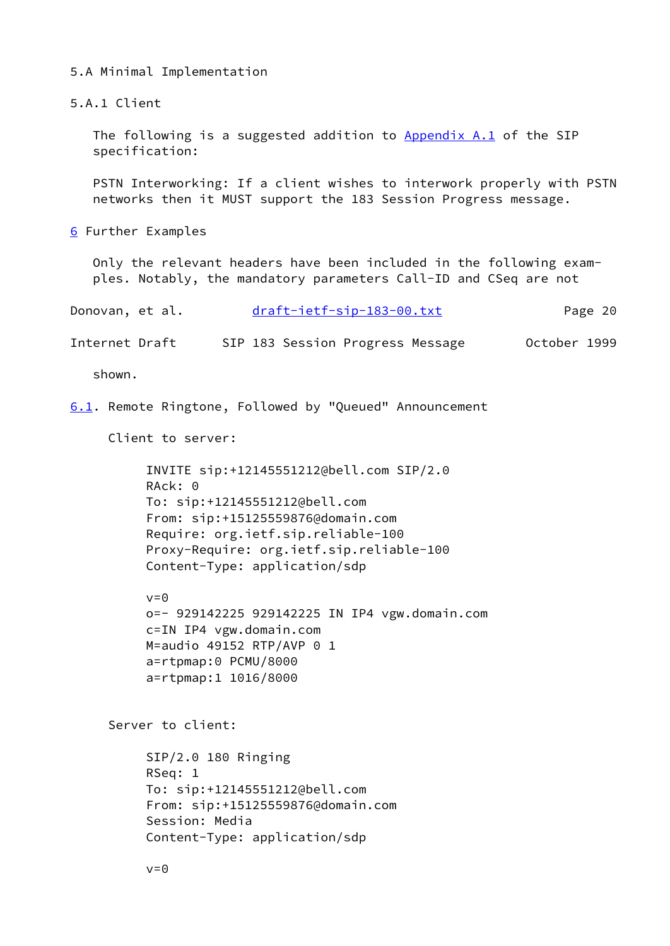5.A Minimal Implementation

5.A.1 Client

The following is a suggested addition to  $\Delta$ ppendix  $\Delta$ .1 of the SIP specification:

 PSTN Interworking: If a client wishes to interwork properly with PSTN networks then it MUST support the 183 Session Progress message.

<span id="page-22-0"></span>[6](#page-22-0) Further Examples

 Only the relevant headers have been included in the following exam ples. Notably, the mandatory parameters Call-ID and CSeq are not

| Donovan, et al. | draft-ietf-sip-183-00.txt | Page 20 |
|-----------------|---------------------------|---------|
|                 |                           |         |

Internet Draft SIP 183 Session Progress Message October 1999

shown.

<span id="page-22-1"></span>[6.1](#page-22-1). Remote Ringtone, Followed by "Queued" Announcement

Client to server:

```
 INVITE sip:+12145551212@bell.com SIP/2.0
 RAck: 0
 To: sip:+12145551212@bell.com
 From: sip:+15125559876@domain.com
 Require: org.ietf.sip.reliable-100
 Proxy-Require: org.ietf.sip.reliable-100
 Content-Type: application/sdp
```
 $v=0$  o=- 929142225 929142225 IN IP4 vgw.domain.com c=IN IP4 vgw.domain.com M=audio 49152 RTP/AVP 0 1 a=rtpmap:0 PCMU/8000 a=rtpmap:1 1016/8000

Server to client:

 SIP/2.0 180 Ringing RSeq: 1 To: sip:+12145551212@bell.com From: sip:+15125559876@domain.com Session: Media Content-Type: application/sdp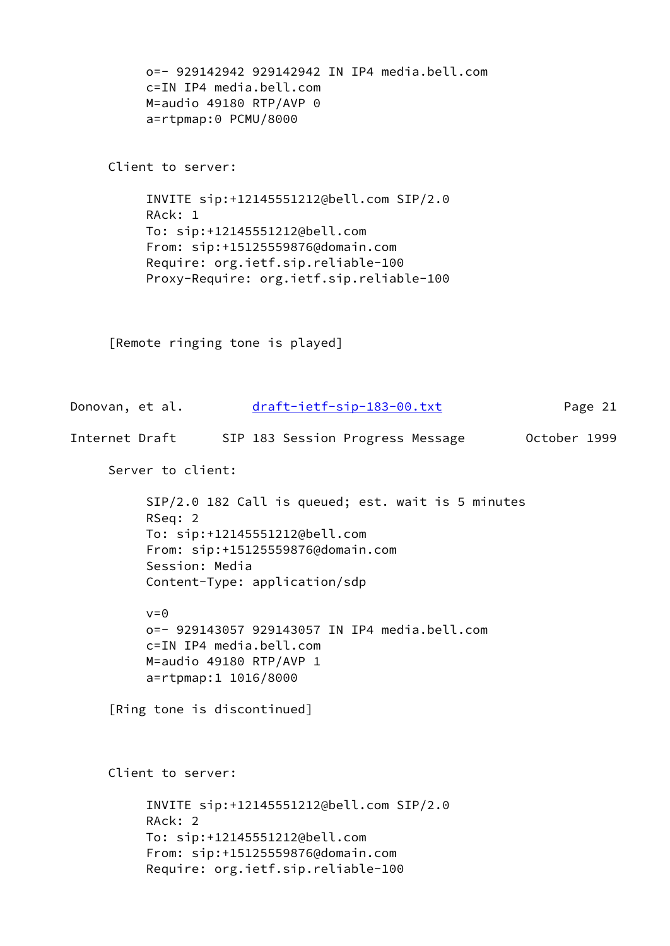```
 o=- 929142942 929142942 IN IP4 media.bell.com
 c=IN IP4 media.bell.com
 M=audio 49180 RTP/AVP 0
 a=rtpmap:0 PCMU/8000
```
Client to server:

 INVITE sip:+12145551212@bell.com SIP/2.0 RAck: 1 To: sip:+12145551212@bell.com From: sip:+15125559876@domain.com Require: org.ietf.sip.reliable-100 Proxy-Require: org.ietf.sip.reliable-100

[Remote ringing tone is played]

Donovan, et al. [draft-ietf-sip-183-00.txt](https://datatracker.ietf.org/doc/pdf/draft-ietf-sip-183-00.txt) Page 21 Internet Draft SIP 183 Session Progress Message October 1999 Server to client: SIP/2.0 182 Call is queued; est. wait is 5 minutes RSeq: 2 To: sip:+12145551212@bell.com From: sip:+15125559876@domain.com Session: Media Content-Type: application/sdp  $v=0$  o=- 929143057 929143057 IN IP4 media.bell.com c=IN IP4 media.bell.com M=audio 49180 RTP/AVP 1 a=rtpmap:1 1016/8000 [Ring tone is discontinued] Client to server: INVITE sip:+12145551212@bell.com SIP/2.0 RAck: 2 To: sip:+12145551212@bell.com From: sip:+15125559876@domain.com Require: org.ietf.sip.reliable-100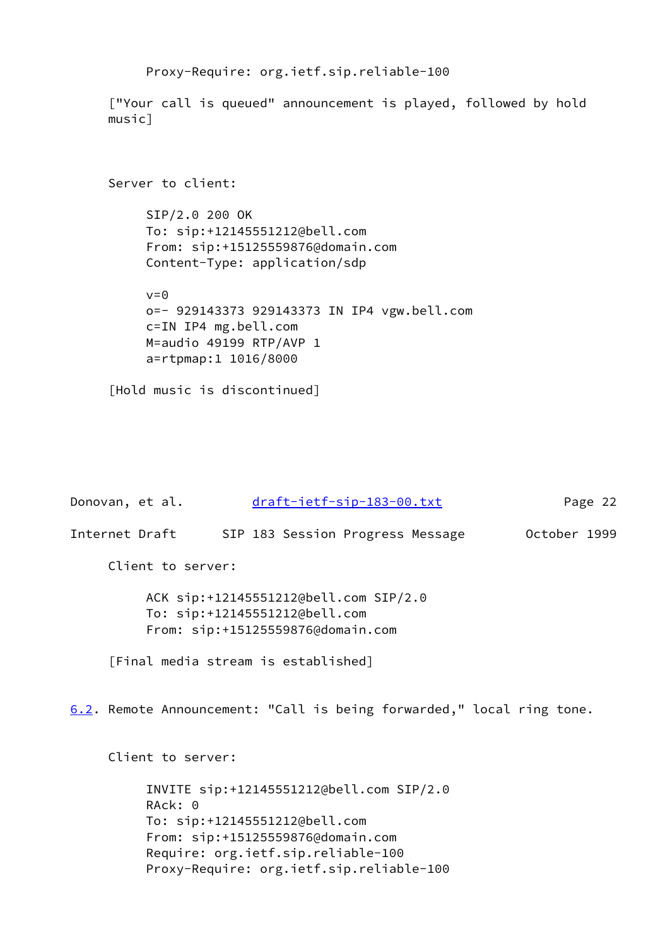```
 Proxy-Require: org.ietf.sip.reliable-100
```
 ["Your call is queued" announcement is played, followed by hold music]

```
 Server to client:
      SIP/2.0 200 OK
      To: sip:+12145551212@bell.com
      From: sip:+15125559876@domain.com
      Content-Type: application/sdp
     v=0 o=- 929143373 929143373 IN IP4 vgw.bell.com
      c=IN IP4 mg.bell.com
      M=audio 49199 RTP/AVP 1
      a=rtpmap:1 1016/8000
```

```
 [Hold music is discontinued]
```

```
draft-ietf-sip-183-00.txt Page 22
Internet Draft SIP 183 Session Progress Message October 1999
     Client to server:
          ACK sip:+12145551212@bell.com SIP/2.0
          To: sip:+12145551212@bell.com
          From: sip:+15125559876@domain.com
     [Final media stream is established]
6.2. Remote Announcement: "Call is being forwarded," local ring tone.
     Client to server:
          INVITE sip:+12145551212@bell.com SIP/2.0
          RAck: 0
          To: sip:+12145551212@bell.com
          From: sip:+15125559876@domain.com
          Require: org.ietf.sip.reliable-100
```
<span id="page-24-0"></span>Proxy-Require: org.ietf.sip.reliable-100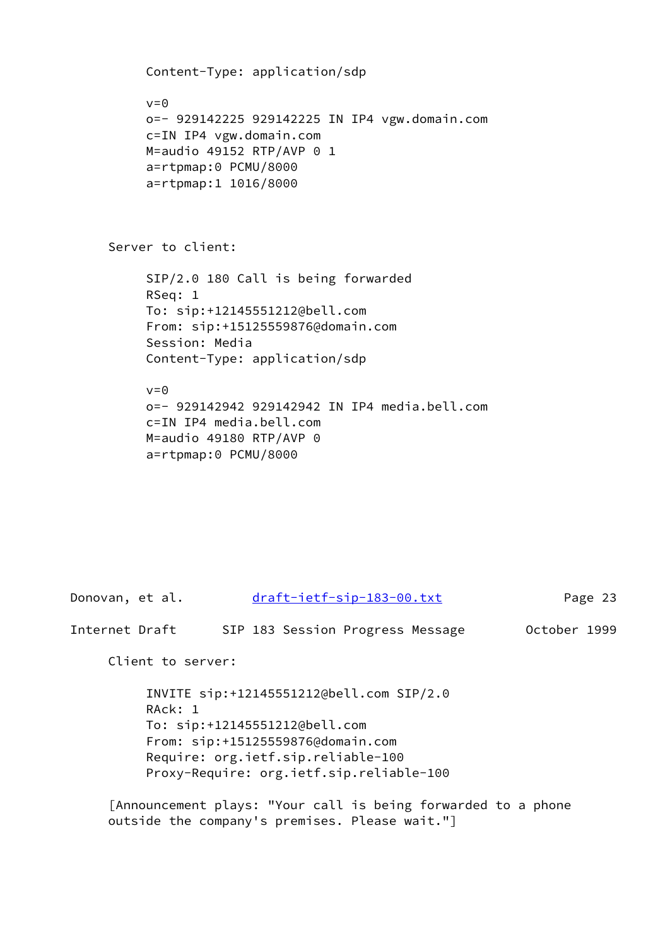```
 Content-Type: application/sdp
v=0 o=- 929142225 929142225 IN IP4 vgw.domain.com
 c=IN IP4 vgw.domain.com
M=audio 49152 RTP/AVP 0 1
 a=rtpmap:0 PCMU/8000
 a=rtpmap:1 1016/8000
```
Server to client:

 SIP/2.0 180 Call is being forwarded RSeq: 1 To: sip:+12145551212@bell.com From: sip:+15125559876@domain.com Session: Media Content-Type: application/sdp

 $v=0$  o=- 929142942 929142942 IN IP4 media.bell.com c=IN IP4 media.bell.com M=audio 49180 RTP/AVP 0 a=rtpmap:0 PCMU/8000

Donovan, et al. [draft-ietf-sip-183-00.txt](https://datatracker.ietf.org/doc/pdf/draft-ietf-sip-183-00.txt) Page 23 Internet Draft SIP 183 Session Progress Message October 1999 Client to server: INVITE sip:+12145551212@bell.com SIP/2.0 RAck: 1 To: sip:+12145551212@bell.com From: sip:+15125559876@domain.com Require: org.ietf.sip.reliable-100 Proxy-Require: org.ietf.sip.reliable-100

 [Announcement plays: "Your call is being forwarded to a phone outside the company's premises. Please wait."]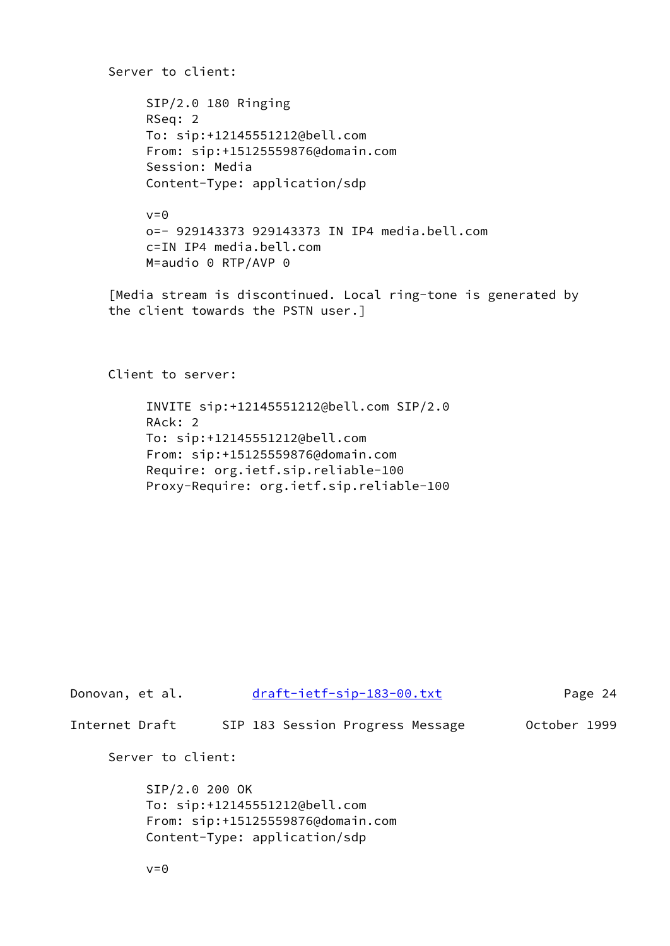Server to client: SIP/2.0 180 Ringing RSeq: 2 To: sip:+12145551212@bell.com From: sip:+15125559876@domain.com Session: Media Content-Type: application/sdp

> $v = \theta$  o=- 929143373 929143373 IN IP4 media.bell.com c=IN IP4 media.bell.com M=audio 0 RTP/AVP 0

 [Media stream is discontinued. Local ring-tone is generated by the client towards the PSTN user.]

Client to server:

 INVITE sip:+12145551212@bell.com SIP/2.0 RAck: 2 To: sip:+12145551212@bell.com From: sip:+15125559876@domain.com Require: org.ietf.sip.reliable-100 Proxy-Require: org.ietf.sip.reliable-100

| Donovan, et al. |                                                                                                                       |  | draft-ietf-sip-183-00.txt        |  |              | Page 24 |
|-----------------|-----------------------------------------------------------------------------------------------------------------------|--|----------------------------------|--|--------------|---------|
| Internet Draft  |                                                                                                                       |  | SIP 183 Session Progress Message |  | October 1999 |         |
|                 | Server to client:                                                                                                     |  |                                  |  |              |         |
|                 | SIP/2.0 200 OK<br>To: sip:+12145551212@bell.com<br>From: sip:+15125559876@domain.com<br>Content-Type: application/sdp |  |                                  |  |              |         |
|                 | $v = \Theta$                                                                                                          |  |                                  |  |              |         |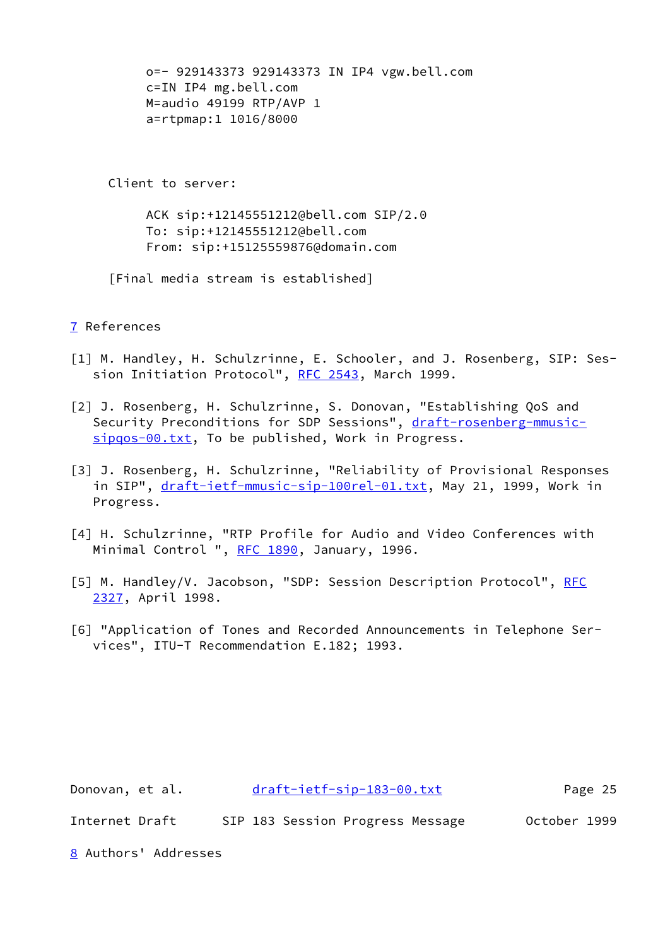```
 o=- 929143373 929143373 IN IP4 vgw.bell.com
      c=IN IP4 mg.bell.com
      M=audio 49199 RTP/AVP 1
      a=rtpmap:1 1016/8000
 Client to server:
      ACK sip:+12145551212@bell.com SIP/2.0
      To: sip:+12145551212@bell.com
      From: sip:+15125559876@domain.com
 [Final media stream is established]
```
# <span id="page-27-2"></span>[7](#page-27-2) References

- <span id="page-27-0"></span>[1] M. Handley, H. Schulzrinne, E. Schooler, and J. Rosenberg, SIP: Ses- sion Initiation Protocol", [RFC 2543,](https://datatracker.ietf.org/doc/pdf/rfc2543) March 1999.
- <span id="page-27-1"></span>[2] J. Rosenberg, H. Schulzrinne, S. Donovan, "Establishing QoS and Security Preconditions for SDP Sessions", [draft-rosenberg-mmusic](https://datatracker.ietf.org/doc/pdf/draft-rosenberg-mmusic-sipqos-00.txt) [sipqos-00.txt](https://datatracker.ietf.org/doc/pdf/draft-rosenberg-mmusic-sipqos-00.txt), To be published, Work in Progress.
- <span id="page-27-5"></span>[3] J. Rosenberg, H. Schulzrinne, "Reliability of Provisional Responses in SIP", [draft-ietf-mmusic-sip-100rel-01.txt](https://datatracker.ietf.org/doc/pdf/draft-ietf-mmusic-sip-100rel-01.txt), May 21, 1999, Work in Progress.
- [4] H. Schulzrinne, "RTP Profile for Audio and Video Conferences with Minimal Control ", [RFC 1890,](https://datatracker.ietf.org/doc/pdf/rfc1890) January, 1996.
- <span id="page-27-3"></span>[5] M. Handley/V. Jacobson, "SDP: Session Description Protocol", [RFC](https://datatracker.ietf.org/doc/pdf/rfc2327) [2327](https://datatracker.ietf.org/doc/pdf/rfc2327), April 1998.
- <span id="page-27-4"></span>[6] "Application of Tones and Recorded Announcements in Telephone Ser vices", ITU-T Recommendation E.182; 1993.

<span id="page-27-6"></span>

| Donovan, et al.      |  |  |  | draft-ietf-sip-183-00.txt        |  |              | Page 25 |  |
|----------------------|--|--|--|----------------------------------|--|--------------|---------|--|
| Internet Draft       |  |  |  | SIP 183 Session Progress Message |  | October 1999 |         |  |
| 8 Authors' Addresses |  |  |  |                                  |  |              |         |  |